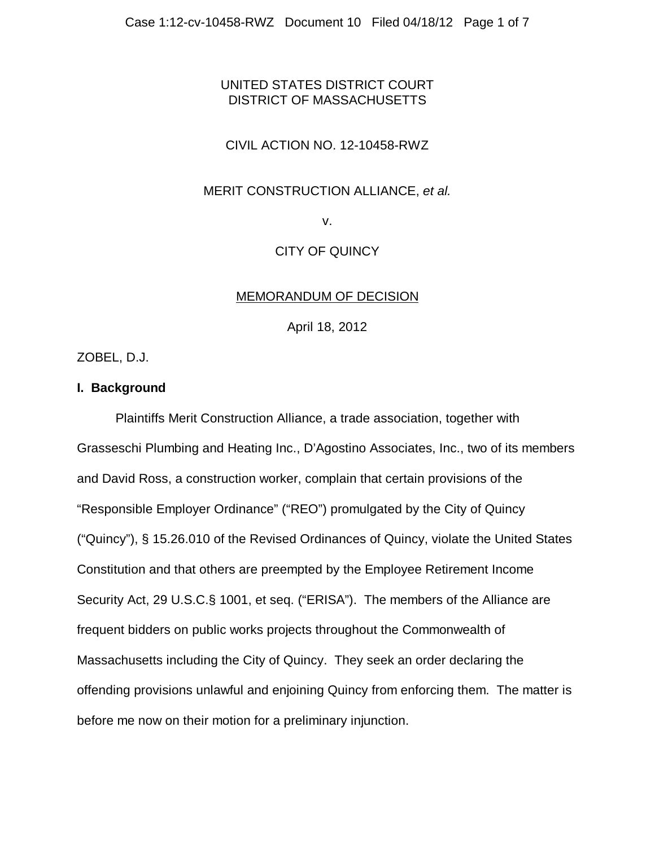# UNITED STATES DISTRICT COURT DISTRICT OF MASSACHUSETTS

# CIVIL ACTION NO. 12-10458-RWZ

#### MERIT CONSTRUCTION ALLIANCE, *et al.*

v.

## CITY OF QUINCY

#### MEMORANDUM OF DECISION

April 18, 2012

ZOBEL, D.J.

## **I. Background**

Plaintiffs Merit Construction Alliance, a trade association, together with Grasseschi Plumbing and Heating Inc., D'Agostino Associates, Inc., two of its members and David Ross, a construction worker, complain that certain provisions of the "Responsible Employer Ordinance" ("REO") promulgated by the City of Quincy ("Quincy"), § 15.26.010 of the Revised Ordinances of Quincy, violate the United States Constitution and that others are preempted by the Employee Retirement Income Security Act, 29 U.S.C.§ 1001, et seq. ("ERISA"). The members of the Alliance are frequent bidders on public works projects throughout the Commonwealth of Massachusetts including the City of Quincy. They seek an order declaring the offending provisions unlawful and enjoining Quincy from enforcing them. The matter is before me now on their motion for a preliminary injunction.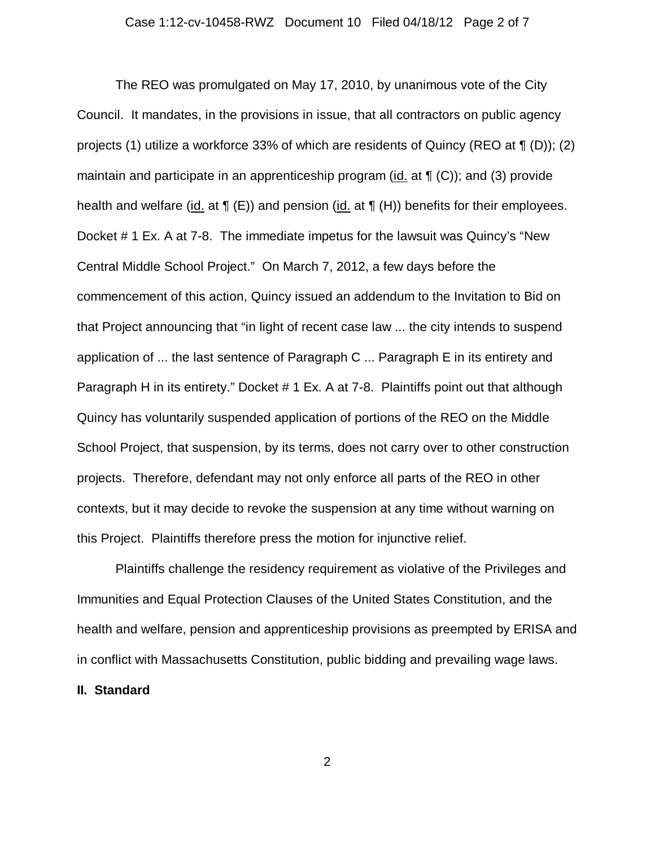The REO was promulgated on May 17, 2010, by unanimous vote of the City Council. It mandates, in the provisions in issue, that all contractors on public agency projects (1) utilize a workforce 33% of which are residents of Quincy (REO at ¶ (D)); (2) maintain and participate in an apprenticeship program (id. at  $\P$  (C)); and (3) provide health and welfare (id. at  $\P$  (E)) and pension (id. at  $\P$  (H)) benefits for their employees. Docket # 1 Ex. A at 7-8. The immediate impetus for the lawsuit was Quincy's "New Central Middle School Project." On March 7, 2012, a few days before the commencement of this action, Quincy issued an addendum to the Invitation to Bid on that Project announcing that "in light of recent case law ... the city intends to suspend application of ... the last sentence of Paragraph C ... Paragraph E in its entirety and Paragraph H in its entirety." Docket # 1 Ex. A at 7-8. Plaintiffs point out that although Quincy has voluntarily suspended application of portions of the REO on the Middle School Project, that suspension, by its terms, does not carry over to other construction projects. Therefore, defendant may not only enforce all parts of the REO in other contexts, but it may decide to revoke the suspension at any time without warning on this Project. Plaintiffs therefore press the motion for injunctive relief.

Plaintiffs challenge the residency requirement as violative of the Privileges and Immunities and Equal Protection Clauses of the United States Constitution, and the health and welfare, pension and apprenticeship provisions as preempted by ERISA and in conflict with Massachusetts Constitution, public bidding and prevailing wage laws.

## **II. Standard**

2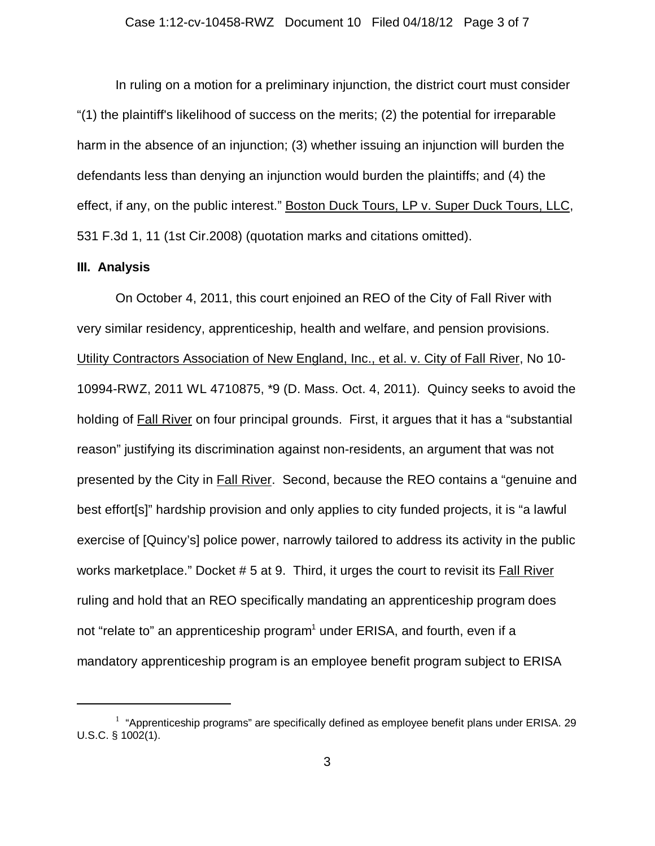In ruling on a motion for a preliminary injunction, the district court must consider "(1) the plaintiff's likelihood of success on the merits; (2) the potential for irreparable harm in the absence of an injunction; (3) whether issuing an injunction will burden the defendants less than denying an injunction would burden the plaintiffs; and (4) the effect, if any, on the public interest." Boston Duck Tours, LP v. Super Duck Tours, LLC, 531 F.3d 1, 11 (1st Cir.2008) (quotation marks and citations omitted).

#### **III. Analysis**

On October 4, 2011, this court enjoined an REO of the City of Fall River with very similar residency, apprenticeship, health and welfare, and pension provisions. Utility Contractors Association of New England, Inc., et al. v. City of Fall River, No 10- 10994-RWZ, 2011 WL 4710875, \*9 (D. Mass. Oct. 4, 2011). Quincy seeks to avoid the holding of Fall River on four principal grounds. First, it argues that it has a "substantial reason" justifying its discrimination against non-residents, an argument that was not presented by the City in Fall River. Second, because the REO contains a "genuine and best effort[s]" hardship provision and only applies to city funded projects, it is "a lawful exercise of [Quincy's] police power, narrowly tailored to address its activity in the public works marketplace." Docket # 5 at 9. Third, it urges the court to revisit its Fall River ruling and hold that an REO specifically mandating an apprenticeship program does not "relate to" an apprenticeship program<sup>1</sup> under ERISA, and fourth, even if a mandatory apprenticeship program is an employee benefit program subject to ERISA

 $1$  "Apprenticeship programs" are specifically defined as employee benefit plans under ERISA. 29 U.S.C. § 1002(1).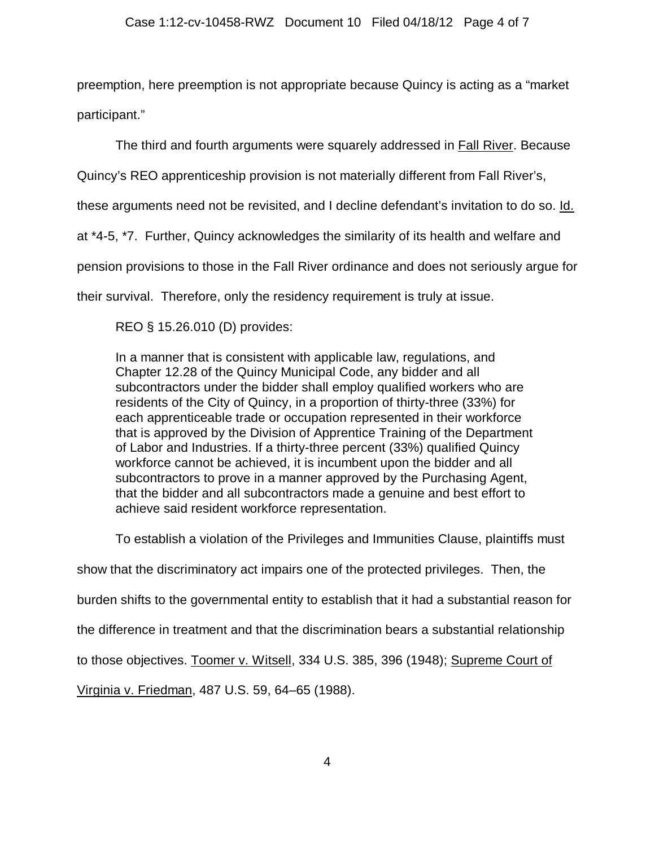preemption, here preemption is not appropriate because Quincy is acting as a "market participant."

The third and fourth arguments were squarely addressed in **Fall River**. Because

Quincy's REO apprenticeship provision is not materially different from Fall River's,

these arguments need not be revisited, and I decline defendant's invitation to do so. Id.

at \*4-5, \*7. Further, Quincy acknowledges the similarity of its health and welfare and

pension provisions to those in the Fall River ordinance and does not seriously argue for

their survival. Therefore, only the residency requirement is truly at issue.

REO § 15.26.010 (D) provides:

In a manner that is consistent with applicable law, regulations, and Chapter 12.28 of the Quincy Municipal Code, any bidder and all subcontractors under the bidder shall employ qualified workers who are residents of the City of Quincy, in a proportion of thirty-three (33%) for each apprenticeable trade or occupation represented in their workforce that is approved by the Division of Apprentice Training of the Department of Labor and Industries. If a thirty-three percent (33%) qualified Quincy workforce cannot be achieved, it is incumbent upon the bidder and all subcontractors to prove in a manner approved by the Purchasing Agent, that the bidder and all subcontractors made a genuine and best effort to achieve said resident workforce representation.

To establish a violation of the Privileges and Immunities Clause, plaintiffs must show that the discriminatory act impairs one of the protected privileges. Then, the burden shifts to the governmental entity to establish that it had a substantial reason for

the difference in treatment and that the discrimination bears a substantial relationship

to those objectives. Toomer v. Witsell, 334 U.S. 385, 396 (1948); Supreme Court of

Virginia v. Friedman, 487 U.S. 59, 64–65 (1988).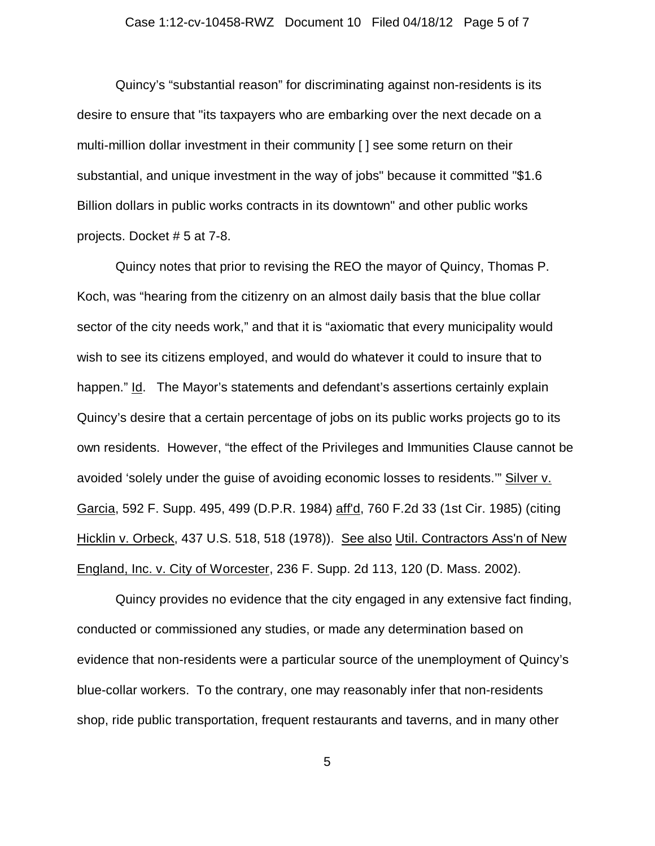#### Case 1:12-cv-10458-RWZ Document 10 Filed 04/18/12 Page 5 of 7

Quincy's "substantial reason" for discriminating against non-residents is its desire to ensure that "its taxpayers who are embarking over the next decade on a multi-million dollar investment in their community [ ] see some return on their substantial, and unique investment in the way of jobs" because it committed "\$1.6 Billion dollars in public works contracts in its downtown" and other public works projects. Docket # 5 at 7-8.

Quincy notes that prior to revising the REO the mayor of Quincy, Thomas P. Koch, was "hearing from the citizenry on an almost daily basis that the blue collar sector of the city needs work," and that it is "axiomatic that every municipality would wish to see its citizens employed, and would do whatever it could to insure that to happen." Id. The Mayor's statements and defendant's assertions certainly explain Quincy's desire that a certain percentage of jobs on its public works projects go to its own residents. However, "the effect of the Privileges and Immunities Clause cannot be avoided 'solely under the guise of avoiding economic losses to residents.'" Silver v. Garcia, 592 F. Supp. 495, 499 (D.P.R. 1984) aff'd, 760 F.2d 33 (1st Cir. 1985) (citing Hicklin v. Orbeck, 437 U.S. 518, 518 (1978)). See also Util. Contractors Ass'n of New England, Inc. v. City of Worcester, 236 F. Supp. 2d 113, 120 (D. Mass. 2002).

Quincy provides no evidence that the city engaged in any extensive fact finding, conducted or commissioned any studies, or made any determination based on evidence that non-residents were a particular source of the unemployment of Quincy's blue-collar workers. To the contrary, one may reasonably infer that non-residents shop, ride public transportation, frequent restaurants and taverns, and in many other

5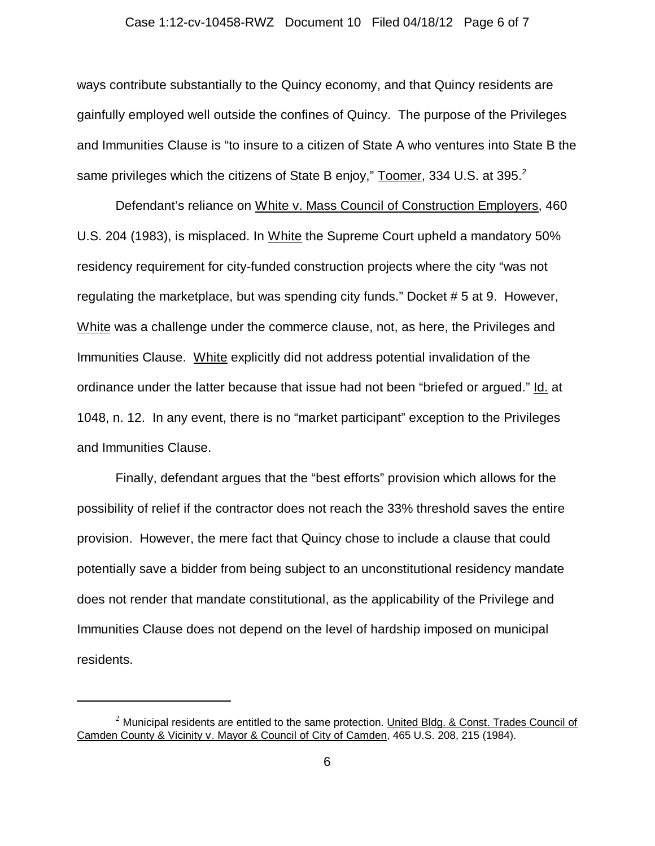#### Case 1:12-cv-10458-RWZ Document 10 Filed 04/18/12 Page 6 of 7

ways contribute substantially to the Quincy economy, and that Quincy residents are gainfully employed well outside the confines of Quincy. The purpose of the Privileges and Immunities Clause is "to insure to a citizen of State A who ventures into State B the same privileges which the citizens of State B enjoy," Toomer, 334 U.S. at 395.<sup>2</sup>

Defendant's reliance on White v. Mass Council of Construction Employers, 460 U.S. 204 (1983), is misplaced. In White the Supreme Court upheld a mandatory 50% residency requirement for city-funded construction projects where the city "was not regulating the marketplace, but was spending city funds." Docket # 5 at 9. However, White was a challenge under the commerce clause, not, as here, the Privileges and Immunities Clause. White explicitly did not address potential invalidation of the ordinance under the latter because that issue had not been "briefed or argued." Id. at 1048, n. 12. In any event, there is no "market participant" exception to the Privileges and Immunities Clause.

Finally, defendant argues that the "best efforts" provision which allows for the possibility of relief if the contractor does not reach the 33% threshold saves the entire provision. However, the mere fact that Quincy chose to include a clause that could potentially save a bidder from being subject to an unconstitutional residency mandate does not render that mandate constitutional, as the applicability of the Privilege and Immunities Clause does not depend on the level of hardship imposed on municipal residents.

 $^2$  Municipal residents are entitled to the same protection. United Bldg. & Const. Trades Council of Camden County & Vicinity v. Mayor & Council of City of Camden, 465 U.S. 208, 215 (1984).